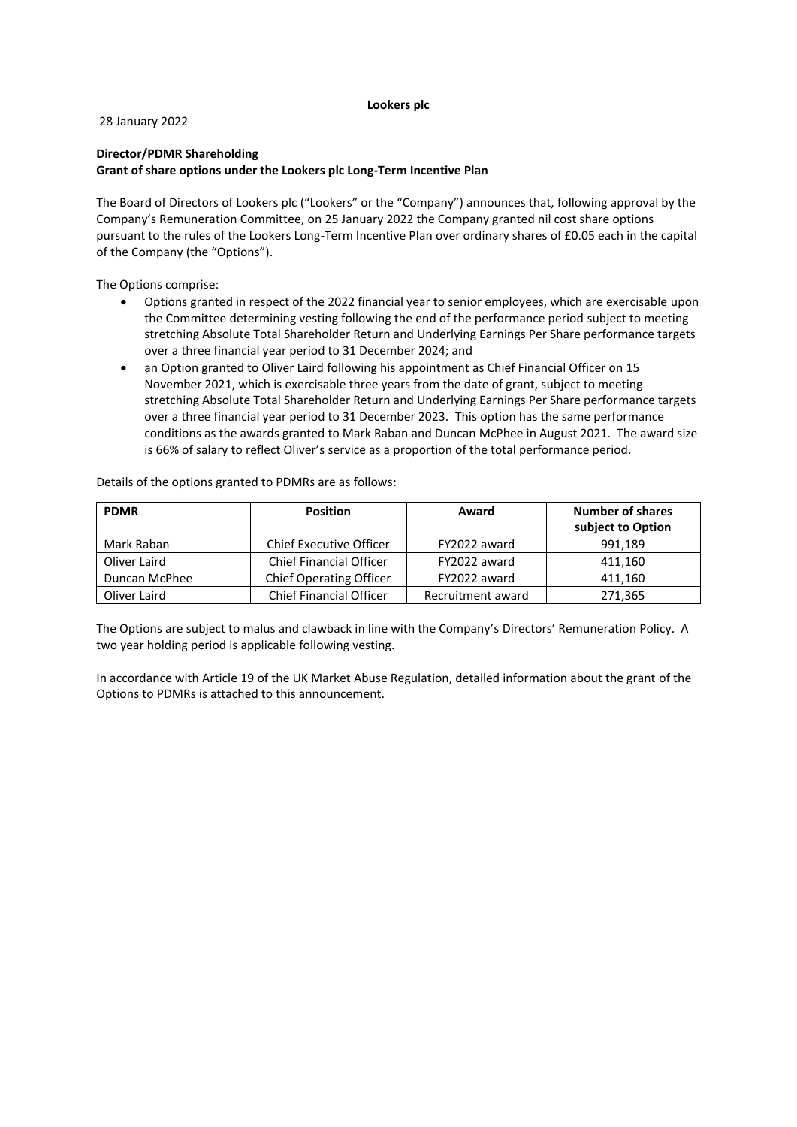## **Lookers plc**

28 January 2022

## **Director/PDMR Shareholding**

#### **Grant of share options under the Lookers plc Long-Term Incentive Plan**

The Board of Directors of Lookers plc ("Lookers" or the "Company") announces that, following approval by the Company's Remuneration Committee, on 25 January 2022 the Company granted nil cost share options pursuant to the rules of the Lookers Long-Term Incentive Plan over ordinary shares of £0.05 each in the capital of the Company (the "Options").

The Options comprise:

- Options granted in respect of the 2022 financial year to senior employees, which are exercisable upon the Committee determining vesting following the end of the performance period subject to meeting stretching Absolute Total Shareholder Return and Underlying Earnings Per Share performance targets over a three financial year period to 31 December 2024; and
- an Option granted to Oliver Laird following his appointment as Chief Financial Officer on 15 November 2021, which is exercisable three years from the date of grant, subject to meeting stretching Absolute Total Shareholder Return and Underlying Earnings Per Share performance targets over a three financial year period to 31 December 2023. This option has the same performance conditions as the awards granted to Mark Raban and Duncan McPhee in August 2021. The award size is 66% of salary to reflect Oliver's service as a proportion of the total performance period.

| <b>PDMR</b>   | <b>Position</b>                | Award             | <b>Number of shares</b><br>subject to Option |
|---------------|--------------------------------|-------------------|----------------------------------------------|
| Mark Raban    | <b>Chief Executive Officer</b> | FY2022 award      | 991.189                                      |
| Oliver Laird  | <b>Chief Financial Officer</b> | FY2022 award      | 411,160                                      |
| Duncan McPhee | <b>Chief Operating Officer</b> | FY2022 award      | 411,160                                      |
| Oliver Laird  | <b>Chief Financial Officer</b> | Recruitment award | 271,365                                      |

Details of the options granted to PDMRs are as follows:

The Options are subject to malus and clawback in line with the Company's Directors' Remuneration Policy. A two year holding period is applicable following vesting.

In accordance with Article 19 of the UK Market Abuse Regulation, detailed information about the grant of the Options to PDMRs is attached to this announcement.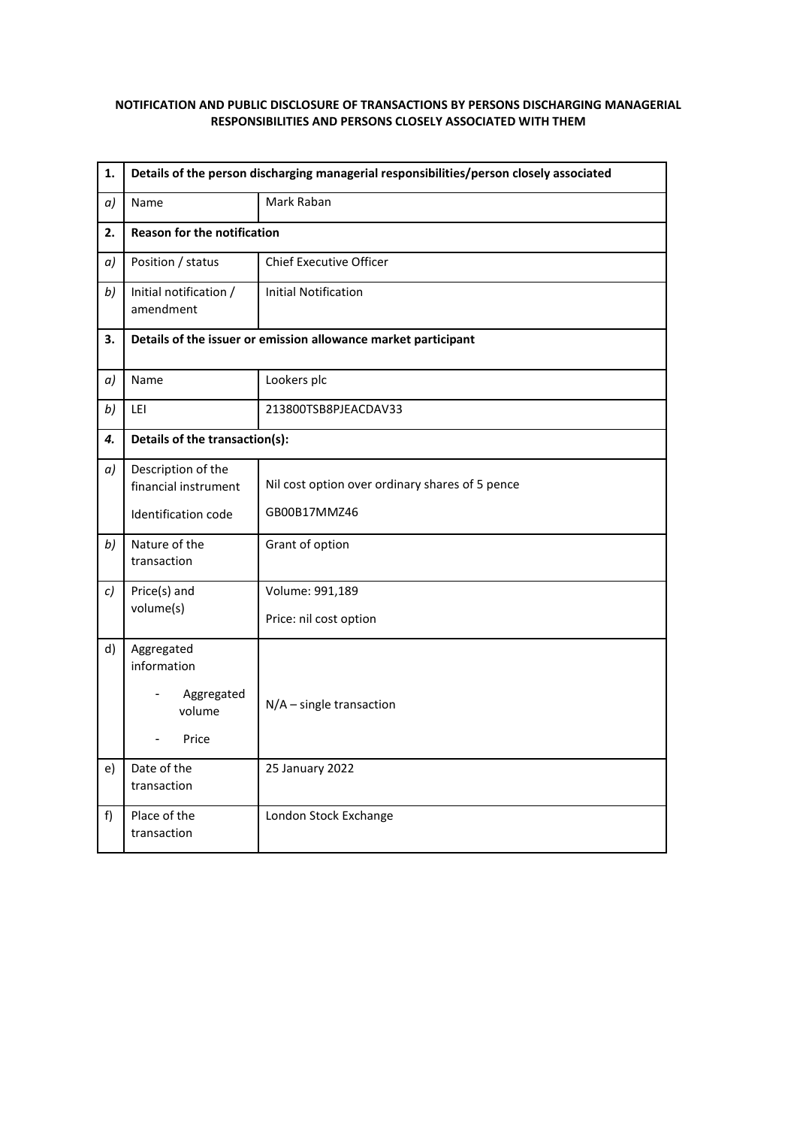## **NOTIFICATION AND PUBLIC DISCLOSURE OF TRANSACTIONS BY PERSONS DISCHARGING MANAGERIAL RESPONSIBILITIES AND PERSONS CLOSELY ASSOCIATED WITH THEM**

| 1. | Details of the person discharging managerial responsibilities/person closely associated |                                                 |  |
|----|-----------------------------------------------------------------------------------------|-------------------------------------------------|--|
| a) | Name                                                                                    | Mark Raban                                      |  |
| 2. | <b>Reason for the notification</b>                                                      |                                                 |  |
| a) | Position / status                                                                       | <b>Chief Executive Officer</b>                  |  |
| b) | Initial notification /<br>amendment                                                     | <b>Initial Notification</b>                     |  |
| 3. | Details of the issuer or emission allowance market participant                          |                                                 |  |
| a) | Name                                                                                    | Lookers plc                                     |  |
| b) | LEI                                                                                     | 213800TSB8PJEACDAV33                            |  |
| 4. | Details of the transaction(s):                                                          |                                                 |  |
| a) | Description of the<br>financial instrument                                              | Nil cost option over ordinary shares of 5 pence |  |
|    | Identification code                                                                     | GB00B17MMZ46                                    |  |
| b) | Nature of the<br>transaction                                                            | Grant of option                                 |  |
| c) | Price(s) and<br>volume(s)                                                               | Volume: 991,189                                 |  |
|    |                                                                                         | Price: nil cost option                          |  |
| d) | Aggregated<br>information                                                               |                                                 |  |
|    | Aggregated<br>volume                                                                    | $N/A$ – single transaction                      |  |
|    | Price<br>÷,                                                                             |                                                 |  |
| e) | Date of the<br>transaction                                                              | 25 January 2022                                 |  |
| f  | Place of the<br>transaction                                                             | London Stock Exchange                           |  |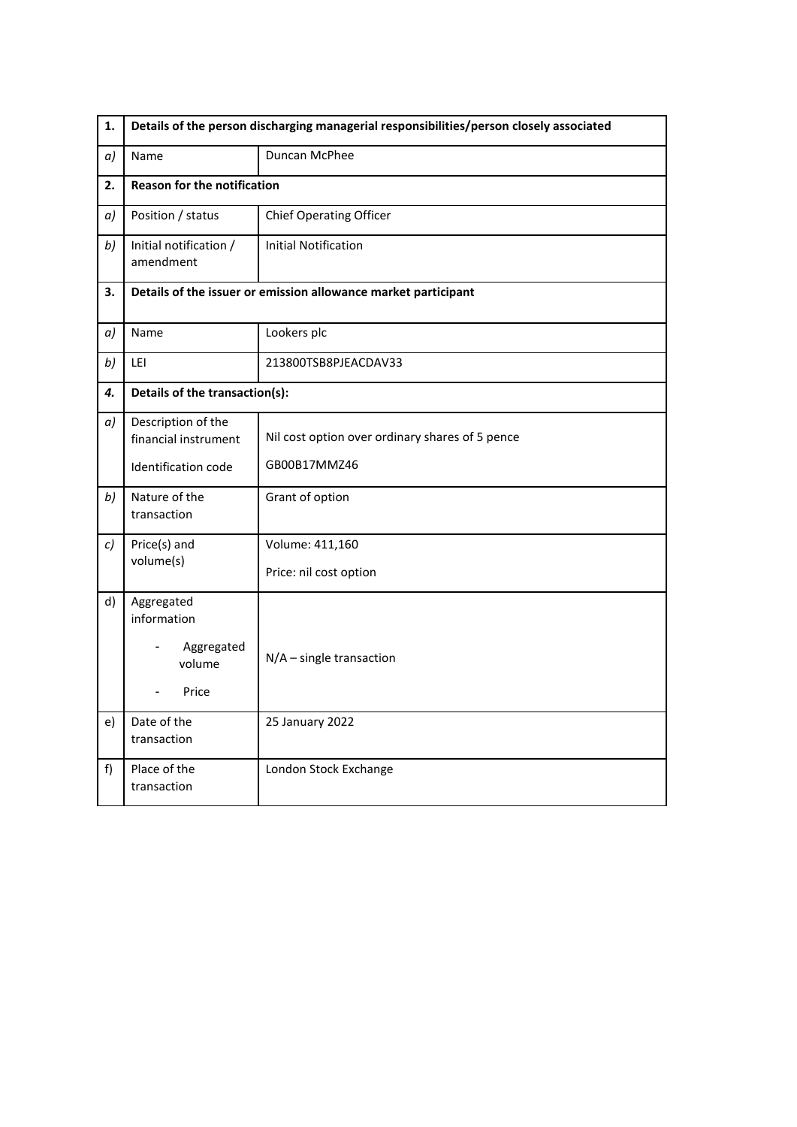| 1. | Details of the person discharging managerial responsibilities/person closely associated |                                                                 |  |
|----|-----------------------------------------------------------------------------------------|-----------------------------------------------------------------|--|
| a) | Name                                                                                    | Duncan McPhee                                                   |  |
| 2. | <b>Reason for the notification</b>                                                      |                                                                 |  |
| a) | Position / status                                                                       | <b>Chief Operating Officer</b>                                  |  |
| b) | Initial notification /<br>amendment                                                     | <b>Initial Notification</b>                                     |  |
| 3. | Details of the issuer or emission allowance market participant                          |                                                                 |  |
| a) | Name                                                                                    | Lookers plc                                                     |  |
| b) | LEI                                                                                     | 213800TSB8PJEACDAV33                                            |  |
| 4. | Details of the transaction(s):                                                          |                                                                 |  |
| a) | Description of the<br>financial instrument<br>Identification code                       | Nil cost option over ordinary shares of 5 pence<br>GB00B17MMZ46 |  |
| b) | Nature of the<br>transaction                                                            | Grant of option                                                 |  |
| c) | Price(s) and<br>volume(s)                                                               | Volume: 411,160<br>Price: nil cost option                       |  |
| d) | Aggregated<br>information<br>Aggregated<br>volume<br>Price                              | $N/A$ – single transaction                                      |  |
| e) | Date of the<br>transaction                                                              | 25 January 2022                                                 |  |
| f  | Place of the<br>transaction                                                             | London Stock Exchange                                           |  |